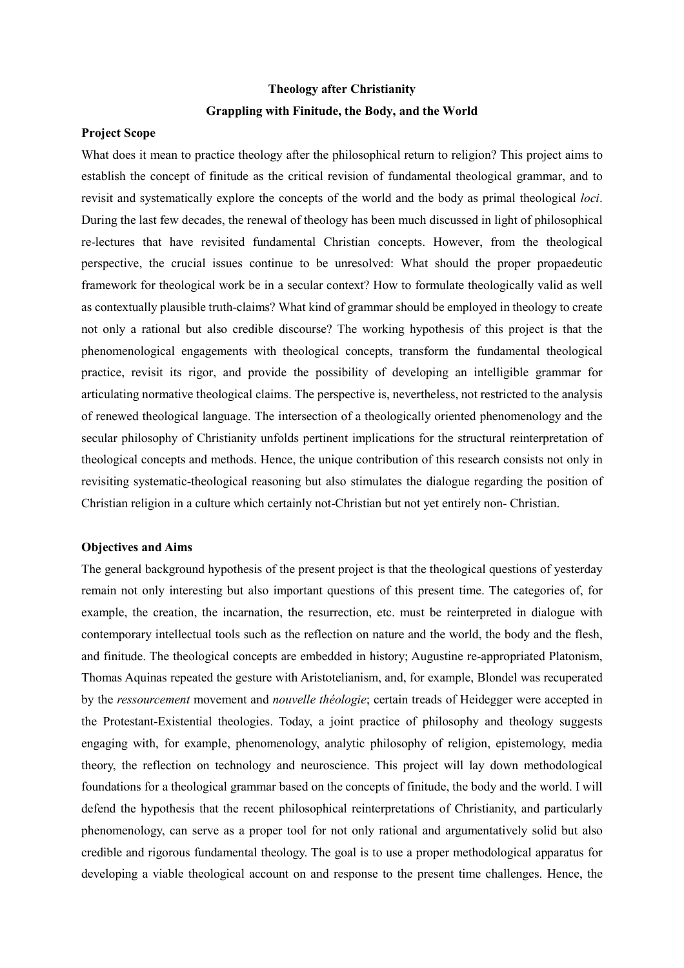## **Theology after Christianity Grappling with Finitude, the Body, and the World**

## **Project Scope**

What does it mean to practice theology after the philosophical return to religion? This project aims to establish the concept of finitude as the critical revision of fundamental theological grammar, and to revisit and systematically explore the concepts of the world and the body as primal theological *loci*. During the last few decades, the renewal of theology has been much discussed in light of philosophical re-lectures that have revisited fundamental Christian concepts. However, from the theological perspective, the crucial issues continue to be unresolved: What should the proper propaedeutic framework for theological work be in a secular context? How to formulate theologically valid as well as contextually plausible truth-claims? What kind of grammar should be employed in theology to create not only a rational but also credible discourse? The working hypothesis of this project is that the phenomenological engagements with theological concepts, transform the fundamental theological practice, revisit its rigor, and provide the possibility of developing an intelligible grammar for articulating normative theological claims. The perspective is, nevertheless, not restricted to the analysis of renewed theological language. The intersection of a theologically oriented phenomenology and the secular philosophy of Christianity unfolds pertinent implications for the structural reinterpretation of theological concepts and methods. Hence, the unique contribution of this research consists not only in revisiting systematic-theological reasoning but also stimulates the dialogue regarding the position of Christian religion in a culture which certainly not-Christian but not yet entirely non- Christian.

## **Objectives and Aims**

The general background hypothesis of the present project is that the theological questions of yesterday remain not only interesting but also important questions of this present time. The categories of, for example, the creation, the incarnation, the resurrection, etc. must be reinterpreted in dialogue with contemporary intellectual tools such as the reflection on nature and the world, the body and the flesh, and finitude. The theological concepts are embedded in history; Augustine re-appropriated Platonism, Thomas Aquinas repeated the gesture with Aristotelianism, and, for example, Blondel was recuperated by the *ressourcement* movement and *nouvelle théologie*; certain treads of Heidegger were accepted in the Protestant-Existential theologies. Today, a joint practice of philosophy and theology suggests engaging with, for example, phenomenology, analytic philosophy of religion, epistemology, media theory, the reflection on technology and neuroscience. This project will lay down methodological foundations for a theological grammar based on the concepts of finitude, the body and the world. I will defend the hypothesis that the recent philosophical reinterpretations of Christianity, and particularly phenomenology, can serve as a proper tool for not only rational and argumentatively solid but also credible and rigorous fundamental theology. The goal is to use a proper methodological apparatus for developing a viable theological account on and response to the present time challenges. Hence, the